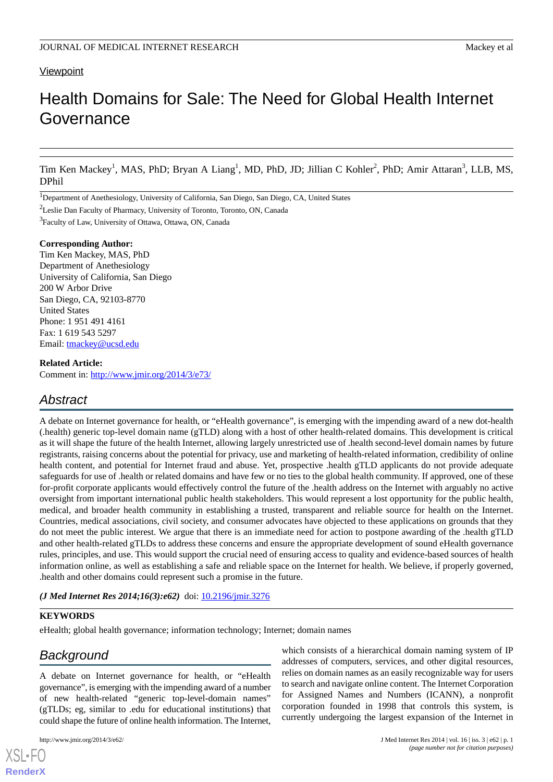### **Viewpoint**

# Health Domains for Sale: The Need for Global Health Internet Governance

Tim Ken Mackey<sup>1</sup>, MAS, PhD; Bryan A Liang<sup>1</sup>, MD, PhD, JD; Jillian C Kohler<sup>2</sup>, PhD; Amir Attaran<sup>3</sup>, LLB, MS, DPhil

1Department of Anethesiology, University of California, San Diego, San Diego, CA, United States

<sup>2</sup>Leslie Dan Faculty of Pharmacy, University of Toronto, Toronto, ON, Canada

<sup>3</sup> Faculty of Law, University of Ottawa, Ottawa, ON, Canada

#### **Corresponding Author:**

Tim Ken Mackey, MAS, PhD Department of Anethesiology University of California, San Diego 200 W Arbor Drive San Diego, CA, 92103-8770 United States Phone: 1 951 491 4161 Fax: 1 619 543 5297 Email: [tmackey@ucsd.edu](mailto:tmackey@ucsd.edu)

#### **Related Article:**

Comment in: <http://www.jmir.org/2014/3/e73/>

# *Abstract*

A debate on Internet governance for health, or "eHealth governance", is emerging with the impending award of a new dot-health (.health) generic top-level domain name (gTLD) along with a host of other health-related domains. This development is critical as it will shape the future of the health Internet, allowing largely unrestricted use of .health second-level domain names by future registrants, raising concerns about the potential for privacy, use and marketing of health-related information, credibility of online health content, and potential for Internet fraud and abuse. Yet, prospective .health gTLD applicants do not provide adequate safeguards for use of .health or related domains and have few or no ties to the global health community. If approved, one of these for-profit corporate applicants would effectively control the future of the .health address on the Internet with arguably no active oversight from important international public health stakeholders. This would represent a lost opportunity for the public health, medical, and broader health community in establishing a trusted, transparent and reliable source for health on the Internet. Countries, medical associations, civil society, and consumer advocates have objected to these applications on grounds that they do not meet the public interest. We argue that there is an immediate need for action to postpone awarding of the .health gTLD and other health-related gTLDs to address these concerns and ensure the appropriate development of sound eHealth governance rules, principles, and use. This would support the crucial need of ensuring access to quality and evidence-based sources of health information online, as well as establishing a safe and reliable space on the Internet for health. We believe, if properly governed, .health and other domains could represent such a promise in the future.

*(J Med Internet Res 2014;16(3):e62)* doi:  $10.2196/$ jmir.3276

#### **KEYWORDS**

eHealth; global health governance; information technology; Internet; domain names

# *Background*

A debate on Internet governance for health, or "eHealth governance", is emerging with the impending award of a number of new health-related "generic top-level-domain names" (gTLDs; eg, similar to .edu for educational institutions) that could shape the future of online health information. The Internet,

[XSL](http://www.w3.org/Style/XSL)•FO **[RenderX](http://www.renderx.com/)**

which consists of a hierarchical domain naming system of IP addresses of computers, services, and other digital resources, relies on domain names as an easily recognizable way for users to search and navigate online content. The Internet Corporation for Assigned Names and Numbers (ICANN), a nonprofit corporation founded in 1998 that controls this system, is currently undergoing the largest expansion of the Internet in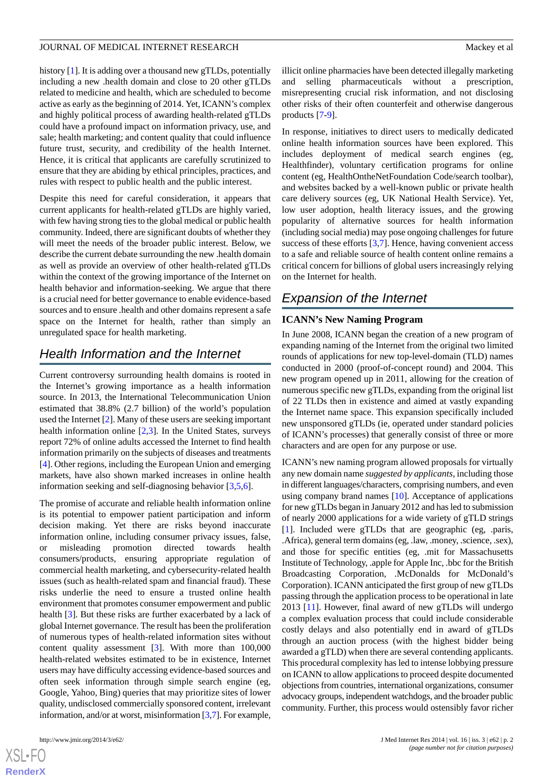history [[1](#page-8-0)]. It is adding over a thousand new gTLDs, potentially including a new .health domain and close to 20 other gTLDs related to medicine and health, which are scheduled to become active as early as the beginning of 2014. Yet, ICANN's complex and highly political process of awarding health-related gTLDs could have a profound impact on information privacy, use, and sale; health marketing; and content quality that could influence future trust, security, and credibility of the health Internet. Hence, it is critical that applicants are carefully scrutinized to ensure that they are abiding by ethical principles, practices, and rules with respect to public health and the public interest.

Despite this need for careful consideration, it appears that current applicants for health-related gTLDs are highly varied, with few having strong ties to the global medical or public health community. Indeed, there are significant doubts of whether they will meet the needs of the broader public interest. Below, we describe the current debate surrounding the new .health domain as well as provide an overview of other health-related gTLDs within the context of the growing importance of the Internet on health behavior and information-seeking. We argue that there is a crucial need for better governance to enable evidence-based sources and to ensure .health and other domains represent a safe space on the Internet for health, rather than simply an unregulated space for health marketing.

# *Health Information and the Internet*

Current controversy surrounding health domains is rooted in the Internet's growing importance as a health information source. In 2013, the International Telecommunication Union estimated that 38.8% (2.7 billion) of the world's population used the Internet [\[2](#page-8-1)]. Many of these users are seeking important health information online [\[2](#page-8-1),[3\]](#page-8-2). In the United States, surveys report 72% of online adults accessed the Internet to find health information primarily on the subjects of diseases and treatments [[4\]](#page-8-3). Other regions, including the European Union and emerging markets, have also shown marked increases in online health information seeking and self-diagnosing behavior [\[3](#page-8-2)[,5,](#page-8-4)[6](#page-8-5)].

The promise of accurate and reliable health information online is its potential to empower patient participation and inform decision making. Yet there are risks beyond inaccurate information online, including consumer privacy issues, false, or misleading promotion directed towards health consumers/products, ensuring appropriate regulation of commercial health marketing, and cybersecurity-related health issues (such as health-related spam and financial fraud). These risks underlie the need to ensure a trusted online health environment that promotes consumer empowerment and public health [\[3](#page-8-2)]. But these risks are further exacerbated by a lack of global Internet governance. The result has been the proliferation of numerous types of health-related information sites without content quality assessment [\[3](#page-8-2)]. With more than 100,000 health-related websites estimated to be in existence, Internet users may have difficulty accessing evidence-based sources and often seek information through simple search engine (eg, Google, Yahoo, Bing) queries that may prioritize sites of lower quality, undisclosed commercially sponsored content, irrelevant information, and/or at worst, misinformation [[3,](#page-8-2)[7](#page-9-0)]. For example,

 $XS$  $\cdot$ FC **[RenderX](http://www.renderx.com/)** illicit online pharmacies have been detected illegally marketing and selling pharmaceuticals without a prescription, misrepresenting crucial risk information, and not disclosing other risks of their often counterfeit and otherwise dangerous products [[7](#page-9-0)[-9](#page-9-1)].

In response, initiatives to direct users to medically dedicated online health information sources have been explored. This includes deployment of medical search engines (eg, Healthfinder), voluntary certification programs for online content (eg, HealthOntheNetFoundation Code/search toolbar), and websites backed by a well-known public or private health care delivery sources (eg, UK National Health Service). Yet, low user adoption, health literacy issues, and the growing popularity of alternative sources for health information (including social media) may pose ongoing challenges for future success of these efforts [\[3](#page-8-2),[7\]](#page-9-0). Hence, having convenient access to a safe and reliable source of health content online remains a critical concern for billions of global users increasingly relying on the Internet for health.

# *Expansion of the Internet*

### **ICANN's New Naming Program**

In June 2008, ICANN began the creation of a new program of expanding naming of the Internet from the original two limited rounds of applications for new top-level-domain (TLD) names conducted in 2000 (proof-of-concept round) and 2004. This new program opened up in 2011, allowing for the creation of numerous specific new gTLDs, expanding from the original list of 22 TLDs then in existence and aimed at vastly expanding the Internet name space. This expansion specifically included new unsponsored gTLDs (ie, operated under standard policies of ICANN's processes) that generally consist of three or more characters and are open for any purpose or use.

ICANN's new naming program allowed proposals for virtually any new domain name *suggested by applicants*, including those in different languages/characters, comprising numbers, and even using company brand names [[10\]](#page-9-2). Acceptance of applications for new gTLDs began in January 2012 and has led to submission of nearly 2000 applications for a wide variety of gTLD strings [[1\]](#page-8-0). Included were gTLDs that are geographic (eg, .paris, .Africa), general term domains (eg, .law, .money, .science, .sex), and those for specific entities (eg, .mit for Massachusetts Institute of Technology, .apple for Apple Inc, .bbc for the British Broadcasting Corporation, .McDonalds for McDonald's Corporation). ICANN anticipated the first group of new gTLDs passing through the application process to be operational in late 2013 [\[11](#page-9-3)]. However, final award of new gTLDs will undergo a complex evaluation process that could include considerable costly delays and also potentially end in award of gTLDs through an auction process (with the highest bidder being awarded a gTLD) when there are several contending applicants. This procedural complexity has led to intense lobbying pressure on ICANN to allow applications to proceed despite documented objections from countries, international organizations, consumer advocacy groups, independent watchdogs, and the broader public community. Further, this process would ostensibly favor richer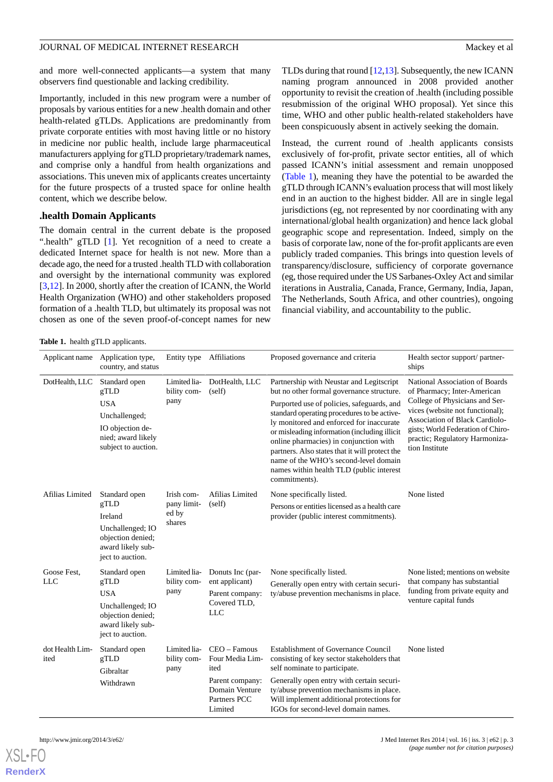and more well-connected applicants—a system that many observers find questionable and lacking credibility.

Importantly, included in this new program were a number of proposals by various entities for a new .health domain and other health-related gTLDs. Applications are predominantly from private corporate entities with most having little or no history in medicine nor public health, include large pharmaceutical manufacturers applying for gTLD proprietary/trademark names, and comprise only a handful from health organizations and associations. This uneven mix of applicants creates uncertainty for the future prospects of a trusted space for online health content, which we describe below.

#### **.health Domain Applicants**

The domain central in the current debate is the proposed ".health" gTLD [[1\]](#page-8-0). Yet recognition of a need to create a dedicated Internet space for health is not new. More than a decade ago, the need for a trusted .health TLD with collaboration and oversight by the international community was explored [[3](#page-8-2)[,12](#page-9-4)]. In 2000, shortly after the creation of ICANN, the World Health Organization (WHO) and other stakeholders proposed formation of a .health TLD, but ultimately its proposal was not chosen as one of the seven proof-of-concept names for new

TLDs during that round [[12,](#page-9-4)[13](#page-9-5)]. Subsequently, the new ICANN naming program announced in 2008 provided another opportunity to revisit the creation of .health (including possible resubmission of the original WHO proposal). Yet since this time, WHO and other public health-related stakeholders have been conspicuously absent in actively seeking the domain.

Instead, the current round of .health applicants consists exclusively of for-profit, private sector entities, all of which passed ICANN's initial assessment and remain unopposed ([Table 1](#page-2-0)), meaning they have the potential to be awarded the gTLD through ICANN's evaluation process that will most likely end in an auction to the highest bidder. All are in single legal jurisdictions (eg, not represented by nor coordinating with any international/global health organization) and hence lack global geographic scope and representation. Indeed, simply on the basis of corporate law, none of the for-profit applicants are even publicly traded companies. This brings into question levels of transparency/disclosure, sufficiency of corporate governance (eg, those required under the US Sarbanes-Oxley Act and similar iterations in Australia, Canada, France, Germany, India, Japan, The Netherlands, South Africa, and other countries), ongoing financial viability, and accountability to the public.

<span id="page-2-0"></span>**Table 1.** health gTLD applicants.

|                           | Applicant name Application type,<br>country, and status                                                               |                                              | Entity type Affiliations                                                                                  | Proposed governance and criteria                                                                                                                                                                                                                                                                                                                                                                                                                                                 | Health sector support/ partner-<br>ships                                                                                                                                                                                                                             |
|---------------------------|-----------------------------------------------------------------------------------------------------------------------|----------------------------------------------|-----------------------------------------------------------------------------------------------------------|----------------------------------------------------------------------------------------------------------------------------------------------------------------------------------------------------------------------------------------------------------------------------------------------------------------------------------------------------------------------------------------------------------------------------------------------------------------------------------|----------------------------------------------------------------------------------------------------------------------------------------------------------------------------------------------------------------------------------------------------------------------|
| DotHealth, LLC            | Standard open<br>gTLD<br><b>USA</b><br>Unchallenged;<br>IO objection de-<br>nied; award likely<br>subject to auction. | Limited lia-<br>bility com-<br>pany          | DotHealth, LLC<br>(self)                                                                                  | Partnership with Neustar and Legitscript<br>but no other formal governance structure.<br>Purported use of policies, safeguards, and<br>standard operating procedures to be active-<br>ly monitored and enforced for inaccurate<br>or misleading information (including illicit<br>online pharmacies) in conjunction with<br>partners. Also states that it will protect the<br>name of the WHO's second-level domain<br>names within health TLD (public interest<br>commitments). | National Association of Boards<br>of Pharmacy; Inter-American<br>College of Physicians and Ser-<br>vices (website not functional);<br><b>Association of Black Cardiolo-</b><br>gists; World Federation of Chiro-<br>practic; Regulatory Harmoniza-<br>tion Institute |
| Afilias Limited           | Standard open<br>gTLD<br>Ireland<br>Unchallenged; IO<br>objection denied;<br>award likely sub-<br>ject to auction.    | Irish com-<br>pany limit-<br>ed by<br>shares | Afilias Limited<br>(self)                                                                                 | None specifically listed.<br>Persons or entities licensed as a health care<br>provider (public interest commitments).                                                                                                                                                                                                                                                                                                                                                            | None listed                                                                                                                                                                                                                                                          |
| Goose Fest,<br><b>LLC</b> | Standard open<br>gTLD<br><b>USA</b><br>Unchallenged; IO<br>objection denied;<br>award likely sub-<br>ject to auction. | Limited lia-<br>bility com-<br>pany          | Donuts Inc (par-<br>ent applicant)<br>Parent company:<br>Covered TLD,<br><b>LLC</b>                       | None specifically listed.<br>Generally open entry with certain securi-<br>ty/abuse prevention mechanisms in place.                                                                                                                                                                                                                                                                                                                                                               | None listed; mentions on website<br>that company has substantial<br>funding from private equity and<br>venture capital funds                                                                                                                                         |
| dot Health Lim-<br>ited   | Standard open<br>gTLD<br>Gibraltar<br>Withdrawn                                                                       | Limited lia-<br>bility com-<br>pany          | $CEO - Famous$<br>Four Media Lim-<br>ited<br>Parent company:<br>Domain Venture<br>Partners PCC<br>Limited | <b>Establishment of Governance Council</b><br>consisting of key sector stakeholders that<br>self nominate to participate.<br>Generally open entry with certain securi-<br>ty/abuse prevention mechanisms in place.<br>Will implement additional protections for<br>IGOs for second-level domain names.                                                                                                                                                                           | None listed                                                                                                                                                                                                                                                          |



[XSL](http://www.w3.org/Style/XSL)•FO **[RenderX](http://www.renderx.com/)**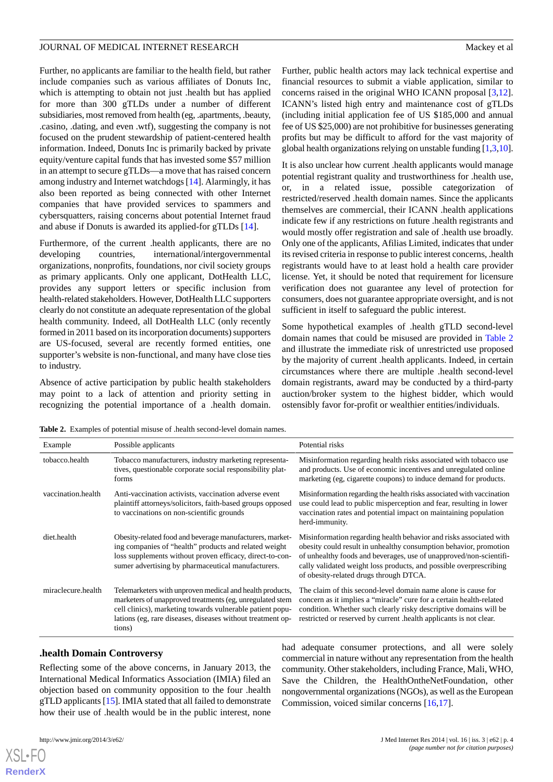Further, no applicants are familiar to the health field, but rather include companies such as various affiliates of Donuts Inc, which is attempting to obtain not just .health but has applied for more than 300 gTLDs under a number of different subsidiaries, most removed from health (eg, .apartments, .beauty, .casino, .dating, and even .wtf), suggesting the company is not focused on the prudent stewardship of patient-centered health information. Indeed, Donuts Inc is primarily backed by private equity/venture capital funds that has invested some \$57 million in an attempt to secure gTLDs—a move that has raised concern among industry and Internet watchdogs [\[14](#page-9-6)]. Alarmingly, it has also been reported as being connected with other Internet companies that have provided services to spammers and cybersquatters, raising concerns about potential Internet fraud and abuse if Donuts is awarded its applied-for gTLDs [[14\]](#page-9-6).

Furthermore, of the current .health applicants, there are no developing countries, international/intergovernmental organizations, nonprofits, foundations, nor civil society groups as primary applicants. Only one applicant, DotHealth LLC, provides any support letters or specific inclusion from health-related stakeholders. However, DotHealth LLC supporters clearly do not constitute an adequate representation of the global health community. Indeed, all DotHealth LLC (only recently formed in 2011 based on its incorporation documents) supporters are US-focused, several are recently formed entities, one supporter's website is non-functional, and many have close ties to industry.

<span id="page-3-0"></span>Absence of active participation by public health stakeholders may point to a lack of attention and priority setting in recognizing the potential importance of a .health domain. Further, public health actors may lack technical expertise and financial resources to submit a viable application, similar to concerns raised in the original WHO ICANN proposal [\[3](#page-8-2),[12\]](#page-9-4). ICANN's listed high entry and maintenance cost of gTLDs (including initial application fee of US \$185,000 and annual fee of US \$25,000) are not prohibitive for businesses generating profits but may be difficult to afford for the vast majority of global health organizations relying on unstable funding [\[1](#page-8-0),[3,](#page-8-2)[10](#page-9-2)].

It is also unclear how current .health applicants would manage potential registrant quality and trustworthiness for .health use, or, in a related issue, possible categorization of restricted/reserved .health domain names. Since the applicants themselves are commercial, their ICANN .health applications indicate few if any restrictions on future .health registrants and would mostly offer registration and sale of .health use broadly. Only one of the applicants, Afilias Limited, indicates that under its revised criteria in response to public interest concerns, .health registrants would have to at least hold a health care provider license. Yet, it should be noted that requirement for licensure verification does not guarantee any level of protection for consumers, does not guarantee appropriate oversight, and is not sufficient in itself to safeguard the public interest.

Some hypothetical examples of .health gTLD second-level domain names that could be misused are provided in [Table 2](#page-3-0) and illustrate the immediate risk of unrestricted use proposed by the majority of current .health applicants. Indeed, in certain circumstances where there are multiple .health second-level domain registrants, award may be conducted by a third-party auction/broker system to the highest bidder, which would ostensibly favor for-profit or wealthier entities/individuals.

**Table 2.** Examples of potential misuse of .health second-level domain names.

| Example            | Possible applicants                                                                                                                                                                                                                                       | Potential risks                                                                                                                                                                                                                                                                                                               |
|--------------------|-----------------------------------------------------------------------------------------------------------------------------------------------------------------------------------------------------------------------------------------------------------|-------------------------------------------------------------------------------------------------------------------------------------------------------------------------------------------------------------------------------------------------------------------------------------------------------------------------------|
| tobacco.health     | Tobacco manufacturers, industry marketing representa-<br>tives, questionable corporate social responsibility plat-<br>forms                                                                                                                               | Misinformation regarding health risks associated with tobacco use<br>and products. Use of economic incentives and unregulated online<br>marketing (eg, cigarette coupons) to induce demand for products.                                                                                                                      |
| vaccination.health | Anti-vaccination activists, vaccination adverse event<br>plaintiff attorneys/solicitors, faith-based groups opposed<br>to vaccinations on non-scientific grounds                                                                                          | Misinformation regarding the health risks associated with vaccination<br>use could lead to public misperception and fear, resulting in lower<br>vaccination rates and potential impact on maintaining population<br>herd-immunity.                                                                                            |
| diet.health        | Obesity-related food and beverage manufacturers, market-<br>ing companies of "health" products and related weight<br>loss supplements without proven efficacy, direct-to-con-<br>sumer advertising by pharmaceutical manufacturers.                       | Misinformation regarding health behavior and risks associated with<br>obesity could result in unhealthy consumption behavior, promotion<br>of unhealthy foods and beverages, use of unapproved/non-scientifi-<br>cally validated weight loss products, and possible overprescribing<br>of obesity-related drugs through DTCA. |
| miraclecure.health | Telemarketers with unproven medical and health products,<br>marketers of unapproved treatments (eg, unregulated stem<br>cell clinics), marketing towards vulnerable patient popu-<br>lations (eg, rare diseases, diseases without treatment op-<br>tions) | The claim of this second-level domain name alone is cause for<br>concern as it implies a "miracle" cure for a certain health-related<br>condition. Whether such clearly risky descriptive domains will be<br>restricted or reserved by current health applicants is not clear.                                                |

### **.health Domain Controversy**

Reflecting some of the above concerns, in January 2013, the International Medical Informatics Association (IMIA) filed an objection based on community opposition to the four .health gTLD applicants [[15\]](#page-9-7). IMIA stated that all failed to demonstrate how their use of .health would be in the public interest, none

had adequate consumer protections, and all were solely commercial in nature without any representation from the health community. Other stakeholders, including France, Mali, WHO, Save the Children, the HealthOntheNetFoundation, other nongovernmental organizations (NGOs), as well as the European Commission, voiced similar concerns [[16](#page-9-8)[,17](#page-9-9)].

[XSL](http://www.w3.org/Style/XSL)•FO **[RenderX](http://www.renderx.com/)**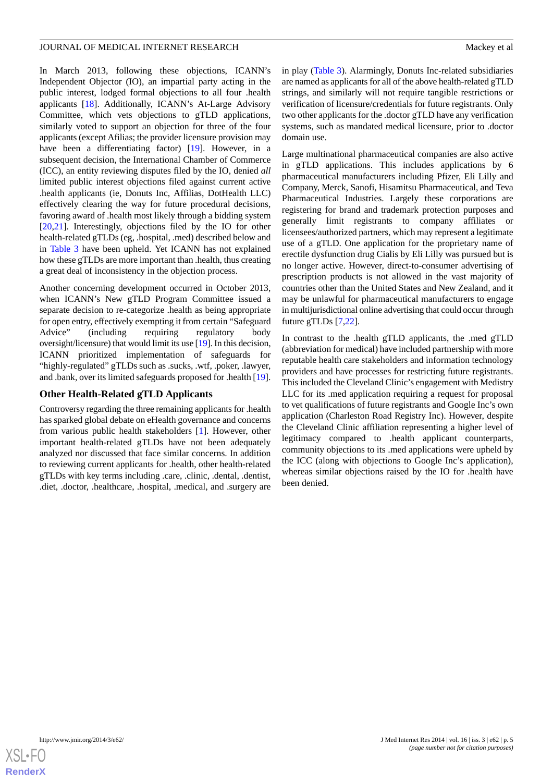In March 2013, following these objections, ICANN's Independent Objector (IO), an impartial party acting in the public interest, lodged formal objections to all four .health applicants [\[18](#page-9-10)]. Additionally, ICANN's At-Large Advisory Committee, which vets objections to gTLD applications, similarly voted to support an objection for three of the four applicants (except Afilias; the provider licensure provision may have been a differentiating factor) [\[19](#page-9-11)]. However, in a subsequent decision, the International Chamber of Commerce (ICC), an entity reviewing disputes filed by the IO, denied *all* limited public interest objections filed against current active .health applicants (ie, Donuts Inc, Affilias, DotHealth LLC) effectively clearing the way for future procedural decisions, favoring award of .health most likely through a bidding system [[20](#page-9-12)[,21](#page-9-13)]. Interestingly, objections filed by the IO for other health-related gTLDs (eg, .hospital, .med) described below and in [Table 3](#page-5-0) have been upheld. Yet ICANN has not explained how these gTLDs are more important than .health, thus creating a great deal of inconsistency in the objection process.

Another concerning development occurred in October 2013, when ICANN's New gTLD Program Committee issued a separate decision to re-categorize .health as being appropriate for open entry, effectively exempting it from certain "Safeguard Advice" (including requiring regulatory body oversight/licensure) that would limit its use [[19](#page-9-11)]. In this decision, ICANN prioritized implementation of safeguards for "highly-regulated" gTLDs such as .sucks, .wtf, .poker, .lawyer, and .bank, over its limited safeguards proposed for .health [[19\]](#page-9-11).

#### **Other Health-Related gTLD Applicants**

Controversy regarding the three remaining applicants for .health has sparked global debate on eHealth governance and concerns from various public health stakeholders [\[1](#page-8-0)]. However, other important health-related gTLDs have not been adequately analyzed nor discussed that face similar concerns. In addition to reviewing current applicants for .health, other health-related gTLDs with key terms including .care, .clinic, .dental, .dentist, .diet, .doctor, .healthcare, .hospital, .medical, and .surgery are in play ([Table 3\)](#page-5-0). Alarmingly, Donuts Inc-related subsidiaries are named as applicants for all of the above health-related gTLD strings, and similarly will not require tangible restrictions or verification of licensure/credentials for future registrants. Only two other applicants for the .doctor gTLD have any verification systems, such as mandated medical licensure, prior to .doctor domain use.

Large multinational pharmaceutical companies are also active in gTLD applications. This includes applications by 6 pharmaceutical manufacturers including Pfizer, Eli Lilly and Company, Merck, Sanofi, Hisamitsu Pharmaceutical, and Teva Pharmaceutical Industries. Largely these corporations are registering for brand and trademark protection purposes and generally limit registrants to company affiliates or licensees/authorized partners, which may represent a legitimate use of a gTLD. One application for the proprietary name of erectile dysfunction drug Cialis by Eli Lilly was pursued but is no longer active. However, direct-to-consumer advertising of prescription products is not allowed in the vast majority of countries other than the United States and New Zealand, and it may be unlawful for pharmaceutical manufacturers to engage in multijurisdictional online advertising that could occur through future gTLDs [\[7](#page-9-0),[22\]](#page-9-14).

In contrast to the .health gTLD applicants, the .med gTLD (abbreviation for medical) have included partnership with more reputable health care stakeholders and information technology providers and have processes for restricting future registrants. This included the Cleveland Clinic's engagement with Medistry LLC for its .med application requiring a request for proposal to vet qualifications of future registrants and Google Inc's own application (Charleston Road Registry Inc). However, despite the Cleveland Clinic affiliation representing a higher level of legitimacy compared to .health applicant counterparts, community objections to its .med applications were upheld by the ICC (along with objections to Google Inc's application), whereas similar objections raised by the IO for .health have been denied.

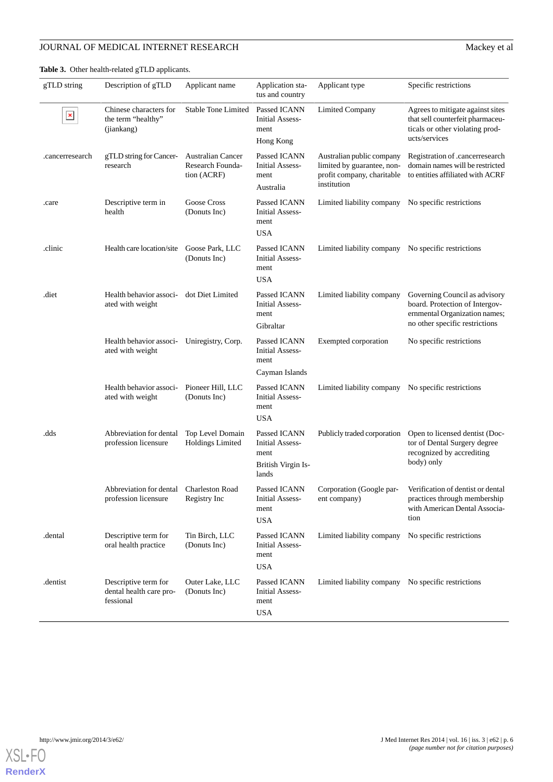## **JOURNAL OF MEDICAL INTERNET RESEARCH** Mackey et al

| gTLD string     | Description of gTLD                                             | Applicant name                                              | Application sta-<br>tus and country                                           | Applicant type                                                                                       | Specific restrictions                                                                                                                            |
|-----------------|-----------------------------------------------------------------|-------------------------------------------------------------|-------------------------------------------------------------------------------|------------------------------------------------------------------------------------------------------|--------------------------------------------------------------------------------------------------------------------------------------------------|
| $\pmb{\times}$  | Chinese characters for<br>the term "healthy"<br>(jiankang)      | <b>Stable Tone Limited</b>                                  | Passed ICANN<br><b>Initial Assess-</b><br>ment<br>Hong Kong                   | <b>Limited Company</b>                                                                               | Agrees to mitigate against sites<br>that sell counterfeit pharmaceu-<br>ticals or other violating prod-<br>ucts/services                         |
| .cancerresearch | gTLD string for Cancer-<br>research                             | <b>Australian Cancer</b><br>Research Founda-<br>tion (ACRF) | Passed ICANN<br><b>Initial Assess-</b><br>ment<br>Australia                   | Australian public company<br>limited by guarantee, non-<br>profit company, charitable<br>institution | Registration of .cancerresearch<br>domain names will be restricted<br>to entities affiliated with ACRF                                           |
| .care           | Descriptive term in<br>health                                   | Goose Cross<br>(Donuts Inc)                                 | Passed ICANN<br><b>Initial Assess-</b><br>ment<br><b>USA</b>                  | Limited liability company No specific restrictions                                                   |                                                                                                                                                  |
| .clinic         | Health care location/site                                       | Goose Park, LLC<br>(Donuts Inc)                             | Passed ICANN<br><b>Initial Assess-</b><br>ment<br><b>USA</b>                  | Limited liability company No specific restrictions                                                   |                                                                                                                                                  |
| .diet           | Health behavior associ- dot Diet Limited<br>ated with weight    |                                                             | Passed ICANN<br><b>Initial Assess-</b><br>ment<br>Gibraltar                   | Limited liability company                                                                            | Governing Council as advisory<br>board. Protection of Intergov-<br>ernmental Organization names;<br>no other specific restrictions               |
|                 | Health behavior associ- Uniregistry, Corp.<br>ated with weight  |                                                             | Passed ICANN<br><b>Initial Assess-</b><br>ment<br>Cayman Islands              | Exempted corporation                                                                                 | No specific restrictions                                                                                                                         |
|                 | Health behavior associ-<br>ated with weight                     | Pioneer Hill, LLC<br>(Donuts Inc)                           | Passed ICANN<br><b>Initial Assess-</b><br>ment<br><b>USA</b>                  | Limited liability company No specific restrictions                                                   |                                                                                                                                                  |
| .dds            | Abbreviation for dental<br>profession licensure                 | Top Level Domain<br><b>Holdings Limited</b>                 | Passed ICANN<br><b>Initial Assess-</b><br>ment<br>British Virgin Is-<br>lands | Publicly traded corporation                                                                          | Open to licensed dentist (Doc-<br>tor of Dental Surgery degree<br>recognized by accrediting<br>body) only                                        |
|                 | Abbreviation for dental Charleston Road<br>profession licensure | Registry Inc                                                | <b>Initial Assess-</b><br>ment<br><b>USA</b>                                  | ent company)                                                                                         | Passed ICANN Corporation (Google par- Verification of dentist or dental<br>practices through membership<br>with American Dental Associa-<br>tion |
| .dental         | Descriptive term for<br>oral health practice                    | Tin Birch, LLC<br>(Donuts Inc)                              | Passed ICANN<br><b>Initial Assess-</b><br>ment<br><b>USA</b>                  | Limited liability company                                                                            | No specific restrictions                                                                                                                         |
| .dentist        | Descriptive term for<br>dental health care pro-<br>fessional    | Outer Lake, LLC<br>(Donuts Inc)                             | Passed ICANN<br><b>Initial Assess-</b><br>ment<br><b>USA</b>                  | Limited liability company No specific restrictions                                                   |                                                                                                                                                  |

<span id="page-5-0"></span>**Table 3.** Other health-related gTLD applicants.

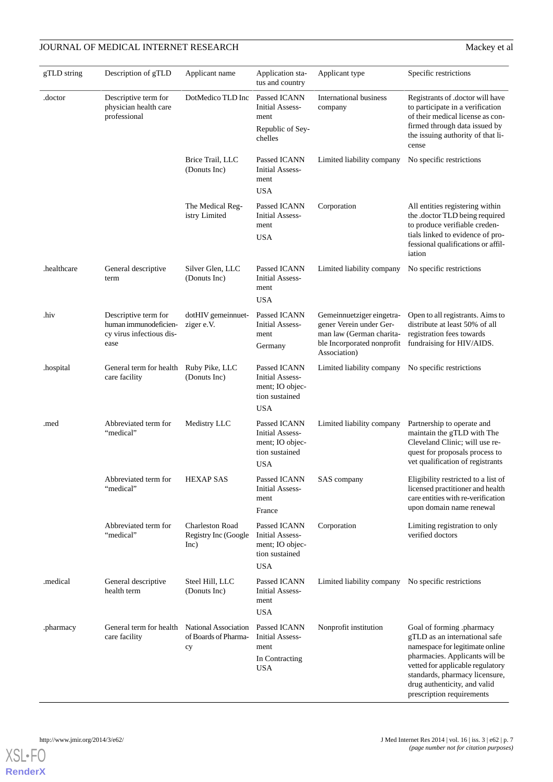## **JOURNAL OF MEDICAL INTERNET RESEARCH** Mackey et al

| gTLD string | Description of gTLD                                                               | Applicant name                                         | Application sta-<br>tus and country                                                       | Applicant type                                                                                                                 | Specific restrictions                                                                                                                                                                                                                                              |
|-------------|-----------------------------------------------------------------------------------|--------------------------------------------------------|-------------------------------------------------------------------------------------------|--------------------------------------------------------------------------------------------------------------------------------|--------------------------------------------------------------------------------------------------------------------------------------------------------------------------------------------------------------------------------------------------------------------|
| .doctor     | Descriptive term for<br>physician health care<br>professional                     | DotMedico TLD Inc                                      | Passed ICANN<br><b>Initial Assess-</b><br>ment<br>Republic of Sey-<br>chelles             | International business<br>company                                                                                              | Registrants of .doctor will have<br>to participate in a verification<br>of their medical license as con-<br>firmed through data issued by<br>the issuing authority of that li-<br>cense                                                                            |
|             |                                                                                   | Brice Trail, LLC<br>(Donuts Inc)                       | Passed ICANN<br><b>Initial Assess-</b><br>ment<br><b>USA</b>                              | Limited liability company                                                                                                      | No specific restrictions                                                                                                                                                                                                                                           |
|             |                                                                                   | The Medical Reg-<br>istry Limited                      | Passed ICANN<br><b>Initial Assess-</b><br>ment<br><b>USA</b>                              | Corporation                                                                                                                    | All entities registering within<br>the .doctor TLD being required<br>to produce verifiable creden-<br>tials linked to evidence of pro-<br>fessional qualifications or affil-<br>iation                                                                             |
| .healthcare | General descriptive<br>term                                                       | Silver Glen, LLC<br>(Donuts Inc)                       | Passed ICANN<br><b>Initial Assess-</b><br>ment<br><b>USA</b>                              | Limited liability company                                                                                                      | No specific restrictions                                                                                                                                                                                                                                           |
| .hiv        | Descriptive term for<br>human immunodeficien-<br>cy virus infectious dis-<br>ease | dotHIV gemeinnuet-<br>ziger e.V.                       | Passed ICANN<br><b>Initial Assess-</b><br>ment<br>Germany                                 | Gemeinnuetziger eingetra-<br>gener Verein under Ger-<br>man law (German charita-<br>ble Incorporated nonprofit<br>Association) | Open to all registrants. Aims to<br>distribute at least 50% of all<br>registration fees towards<br>fundraising for HIV/AIDS.                                                                                                                                       |
| .hospital   | General term for health Ruby Pike, LLC<br>care facility                           | (Donuts Inc)                                           | Passed ICANN<br><b>Initial Assess-</b><br>ment; IO objec-<br>tion sustained<br><b>USA</b> | Limited liability company                                                                                                      | No specific restrictions                                                                                                                                                                                                                                           |
| .med        | Abbreviated term for<br>"medical"                                                 | Medistry LLC                                           | Passed ICANN<br><b>Initial Assess-</b><br>ment; IO objec-<br>tion sustained<br><b>USA</b> | Limited liability company                                                                                                      | Partnership to operate and<br>maintain the gTLD with The<br>Cleveland Clinic; will use re-<br>quest for proposals process to<br>vet qualification of registrants                                                                                                   |
|             | Abbreviated term for<br>"medical"                                                 | <b>HEXAP SAS</b>                                       | Passed ICANN<br><b>Initial Assess-</b><br>ment<br>France                                  | SAS company                                                                                                                    | Eligibility restricted to a list of<br>licensed practitioner and health<br>care entities with re-verification<br>upon domain name renewal                                                                                                                          |
|             | Abbreviated term for<br>"medical"                                                 | <b>Charleston Road</b><br>Registry Inc (Google<br>Inc) | Passed ICANN<br><b>Initial Assess-</b><br>ment; IO objec-<br>tion sustained<br><b>USA</b> | Corporation                                                                                                                    | Limiting registration to only<br>verified doctors                                                                                                                                                                                                                  |
| .medical    | General descriptive<br>health term                                                | Steel Hill, LLC<br>(Donuts Inc)                        | Passed ICANN<br><b>Initial Assess-</b><br>ment<br><b>USA</b>                              | Limited liability company No specific restrictions                                                                             |                                                                                                                                                                                                                                                                    |
| .pharmacy   | General term for health National Association<br>care facility                     | of Boards of Pharma-<br>сy                             | Passed ICANN<br><b>Initial Assess-</b><br>ment<br>In Contracting<br><b>USA</b>            | Nonprofit institution                                                                                                          | Goal of forming .pharmacy<br>gTLD as an international safe<br>namespace for legitimate online<br>pharmacies. Applicants will be<br>vetted for applicable regulatory<br>standards, pharmacy licensure,<br>drug authenticity, and valid<br>prescription requirements |

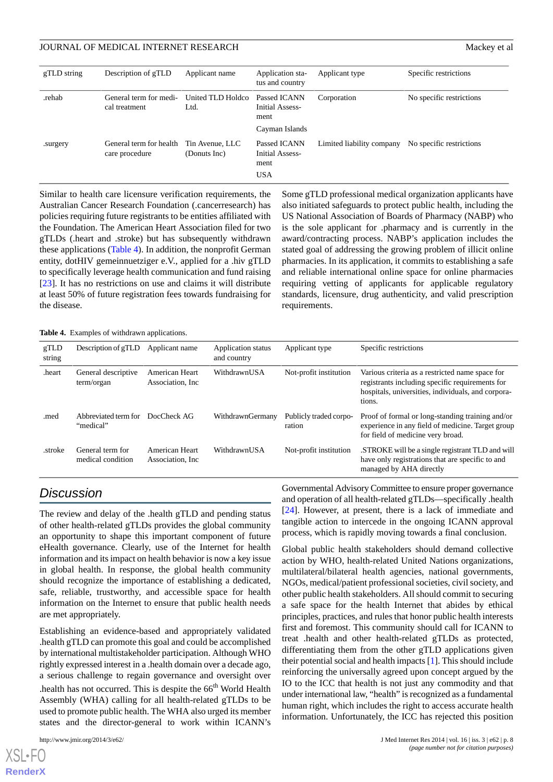| gTLD string | Description of gTLD                       | Applicant name                  | Application sta-<br>tus and country                       | Applicant type            | Specific restrictions    |
|-------------|-------------------------------------------|---------------------------------|-----------------------------------------------------------|---------------------------|--------------------------|
| rehab.      | General term for medi-<br>cal treatment   | United TLD Holdco<br>Ltd.       | Passed ICANN<br>Initial Assess-<br>ment<br>Cayman Islands | Corporation               | No specific restrictions |
| .surgery    | General term for health<br>care procedure | Tin Avenue, LLC<br>(Donuts Inc) | Passed ICANN<br>Initial Assess-<br>ment<br><b>USA</b>     | Limited liability company | No specific restrictions |

Similar to health care licensure verification requirements, the Australian Cancer Research Foundation (.cancerresearch) has policies requiring future registrants to be entities affiliated with the Foundation. The American Heart Association filed for two gTLDs (.heart and .stroke) but has subsequently withdrawn these applications ([Table 4\)](#page-7-0). In addition, the nonprofit German entity, dotHIV gemeinnuetziger e.V., applied for a .hiv gTLD to specifically leverage health communication and fund raising [[23\]](#page-9-15). It has no restrictions on use and claims it will distribute at least 50% of future registration fees towards fundraising for the disease.

Some gTLD professional medical organization applicants have also initiated safeguards to protect public health, including the US National Association of Boards of Pharmacy (NABP) who is the sole applicant for .pharmacy and is currently in the award/contracting process. NABP's application includes the stated goal of addressing the growing problem of illicit online pharmacies. In its application, it commits to establishing a safe and reliable international online space for online pharmacies requiring vetting of applicants for applicable regulatory standards, licensure, drug authenticity, and valid prescription requirements.

<span id="page-7-0"></span>**Table 4.** Examples of withdrawn applications.

| gTLD<br>string | Description of gTLD                   | Applicant name                      | Application status<br>and country | Applicant type                   | Specific restrictions                                                                                                                                              |
|----------------|---------------------------------------|-------------------------------------|-----------------------------------|----------------------------------|--------------------------------------------------------------------------------------------------------------------------------------------------------------------|
| .heart         | General descriptive<br>term/organ     | American Heart<br>Association, Inc. | WithdrawnUSA                      | Not-profit institution           | Various criteria as a restricted name space for<br>registrants including specific requirements for<br>hospitals, universities, individuals, and corpora-<br>tions. |
| .med           | Abbreviated term for<br>"medical"     | DocCheck AG                         | WithdrawnGermany                  | Publicly traded corpo-<br>ration | Proof of formal or long-standing training and/or<br>experience in any field of medicine. Target group<br>for field of medicine very broad.                         |
| .stroke        | General term for<br>medical condition | American Heart<br>Association, Inc. | WithdrawnUSA                      | Not-profit institution           | STROKE will be a single registrant TLD and will<br>have only registrations that are specific to and<br>managed by AHA directly                                     |

# *Discussion*

The review and delay of the .health gTLD and pending status of other health-related gTLDs provides the global community an opportunity to shape this important component of future eHealth governance. Clearly, use of the Internet for health information and its impact on health behavior is now a key issue in global health. In response, the global health community should recognize the importance of establishing a dedicated, safe, reliable, trustworthy, and accessible space for health information on the Internet to ensure that public health needs are met appropriately.

Establishing an evidence-based and appropriately validated .health gTLD can promote this goal and could be accomplished by international multistakeholder participation. Although WHO rightly expressed interest in a .health domain over a decade ago, a serious challenge to regain governance and oversight over .health has not occurred. This is despite the  $66<sup>th</sup>$  World Health Assembly (WHA) calling for all health-related gTLDs to be used to promote public health. The WHA also urged its member states and the director-general to work within ICANN's

[XSL](http://www.w3.org/Style/XSL)•FO **[RenderX](http://www.renderx.com/)** Governmental Advisory Committee to ensure proper governance and operation of all health-related gTLDs—specifically .health [[24\]](#page-9-16). However, at present, there is a lack of immediate and tangible action to intercede in the ongoing ICANN approval process, which is rapidly moving towards a final conclusion.

Global public health stakeholders should demand collective action by WHO, health-related United Nations organizations, multilateral/bilateral health agencies, national governments, NGOs, medical/patient professional societies, civil society, and other public health stakeholders. All should commit to securing a safe space for the health Internet that abides by ethical principles, practices, and rules that honor public health interests first and foremost. This community should call for ICANN to treat .health and other health-related gTLDs as protected, differentiating them from the other gTLD applications given their potential social and health impacts [\[1](#page-8-0)]. This should include reinforcing the universally agreed upon concept argued by the IO to the ICC that health is not just any commodity and that under international law, "health" is recognized as a fundamental human right, which includes the right to access accurate health information. Unfortunately, the ICC has rejected this position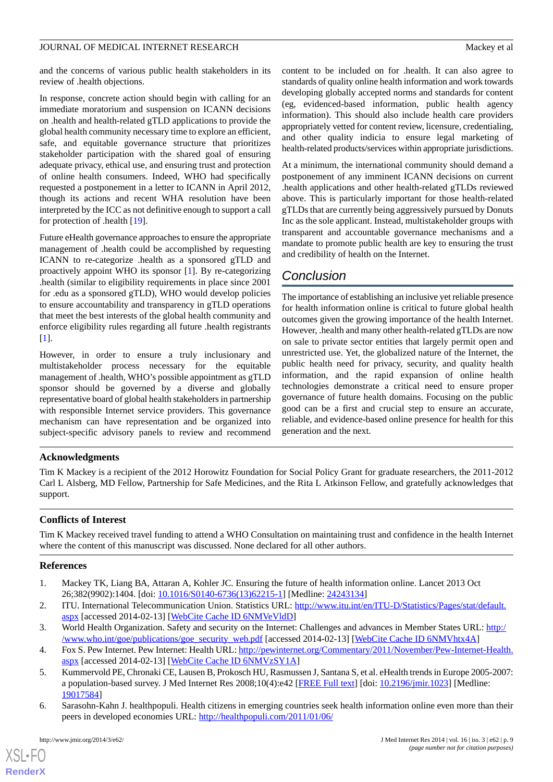and the concerns of various public health stakeholders in its review of .health objections.

In response, concrete action should begin with calling for an immediate moratorium and suspension on ICANN decisions on .health and health-related gTLD applications to provide the global health community necessary time to explore an efficient, safe, and equitable governance structure that prioritizes stakeholder participation with the shared goal of ensuring adequate privacy, ethical use, and ensuring trust and protection of online health consumers. Indeed, WHO had specifically requested a postponement in a letter to ICANN in April 2012, though its actions and recent WHA resolution have been interpreted by the ICC as not definitive enough to support a call for protection of .health [\[19](#page-9-11)].

Future eHealth governance approaches to ensure the appropriate management of .health could be accomplished by requesting ICANN to re-categorize .health as a sponsored gTLD and proactively appoint WHO its sponsor [[1\]](#page-8-0). By re-categorizing .health (similar to eligibility requirements in place since 2001 for .edu as a sponsored gTLD), WHO would develop policies to ensure accountability and transparency in gTLD operations that meet the best interests of the global health community and enforce eligibility rules regarding all future .health registrants [[1\]](#page-8-0).

However, in order to ensure a truly inclusionary and multistakeholder process necessary for the equitable management of .health, WHO's possible appointment as gTLD sponsor should be governed by a diverse and globally representative board of global health stakeholders in partnership with responsible Internet service providers. This governance mechanism can have representation and be organized into subject-specific advisory panels to review and recommend

content to be included on for .health. It can also agree to standards of quality online health information and work towards developing globally accepted norms and standards for content (eg, evidenced-based information, public health agency information). This should also include health care providers appropriately vetted for content review, licensure, credentialing, and other quality indicia to ensure legal marketing of health-related products/services within appropriate jurisdictions.

At a minimum, the international community should demand a postponement of any imminent ICANN decisions on current .health applications and other health-related gTLDs reviewed above. This is particularly important for those health-related gTLDs that are currently being aggressively pursued by Donuts Inc as the sole applicant. Instead, multistakeholder groups with transparent and accountable governance mechanisms and a mandate to promote public health are key to ensuring the trust and credibility of health on the Internet.

# *Conclusion*

The importance of establishing an inclusive yet reliable presence for health information online is critical to future global health outcomes given the growing importance of the health Internet. However, .health and many other health-related gTLDs are now on sale to private sector entities that largely permit open and unrestricted use. Yet, the globalized nature of the Internet, the public health need for privacy, security, and quality health information, and the rapid expansion of online health technologies demonstrate a critical need to ensure proper governance of future health domains. Focusing on the public good can be a first and crucial step to ensure an accurate, reliable, and evidence-based online presence for health for this generation and the next.

### **Acknowledgments**

Tim K Mackey is a recipient of the 2012 Horowitz Foundation for Social Policy Grant for graduate researchers, the 2011-2012 Carl L Alsberg, MD Fellow, Partnership for Safe Medicines, and the Rita L Atkinson Fellow, and gratefully acknowledges that support.

### <span id="page-8-0"></span>**Conflicts of Interest**

<span id="page-8-1"></span>Tim K Mackey received travel funding to attend a WHO Consultation on maintaining trust and confidence in the health Internet where the content of this manuscript was discussed. None declared for all other authors.

#### <span id="page-8-2"></span>**References**

- <span id="page-8-3"></span>1. Mackey TK, Liang BA, Attaran A, Kohler JC. Ensuring the future of health information online. Lancet 2013 Oct 26;382(9902):1404. [doi: [10.1016/S0140-6736\(13\)62215-1](http://dx.doi.org/10.1016/S0140-6736(13)62215-1)] [Medline: [24243134](http://www.ncbi.nlm.nih.gov/entrez/query.fcgi?cmd=Retrieve&db=PubMed&list_uids=24243134&dopt=Abstract)]
- <span id="page-8-4"></span>2. ITU. International Telecommunication Union. Statistics URL: [http://www.itu.int/en/ITU-D/Statistics/Pages/stat/default.](http://www.itu.int/en/ITU-D/Statistics/Pages/stat/default.aspx) [aspx](http://www.itu.int/en/ITU-D/Statistics/Pages/stat/default.aspx) [accessed 2014-02-13] [[WebCite Cache ID 6NMVeVldD\]](http://www.webcitation.org/

                                    6NMVeVldD)
- <span id="page-8-5"></span>3. World Health Organization. Safety and security on the Internet: Challenges and advances in Member States URL: [http:/](http://www.who.int/goe/publications/goe_security_web.pdf) [/www.who.int/goe/publications/goe\\_security\\_web.pdf](http://www.who.int/goe/publications/goe_security_web.pdf) [accessed 2014-02-13] [\[WebCite Cache ID 6NMVhtx4A](http://www.webcitation.org/

                                    6NMVhtx4A)]
- 4. Fox S. Pew Internet. Pew Internet: Health URL: [http://pewinternet.org/Commentary/2011/November/Pew-Internet-Health.](http://pewinternet.org/Commentary/2011/November/Pew-Internet-Health.aspx) [aspx](http://pewinternet.org/Commentary/2011/November/Pew-Internet-Health.aspx) [accessed 2014-02-13] [[WebCite Cache ID 6NMVzSY1A\]](http://www.webcitation.org/

                                    6NMVzSY1A)
- 5. Kummervold PE, Chronaki CE, Lausen B, Prokosch HU, Rasmussen J, Santana S, et al. eHealth trends in Europe 2005-2007: a population-based survey. J Med Internet Res 2008;10(4):e42 [\[FREE Full text\]](http://www.jmir.org/2008/4/e42/) [doi: [10.2196/jmir.1023\]](http://dx.doi.org/10.2196/jmir.1023) [Medline: [19017584](http://www.ncbi.nlm.nih.gov/entrez/query.fcgi?cmd=Retrieve&db=PubMed&list_uids=19017584&dopt=Abstract)]
- 6. Sarasohn-Kahn J. healthpopuli. Health citizens in emerging countries seek health information online even more than their peers in developed economies URL: [http://healthpopuli.com/2011/01/06/](http://healthpopuli.com/2011/01/06/health-citizens-in-emerging-countries-seek-health-information-online-even-more-than-their-peers-in-developed-economies/)

 $XS$  $\cdot$ FC **[RenderX](http://www.renderx.com/)**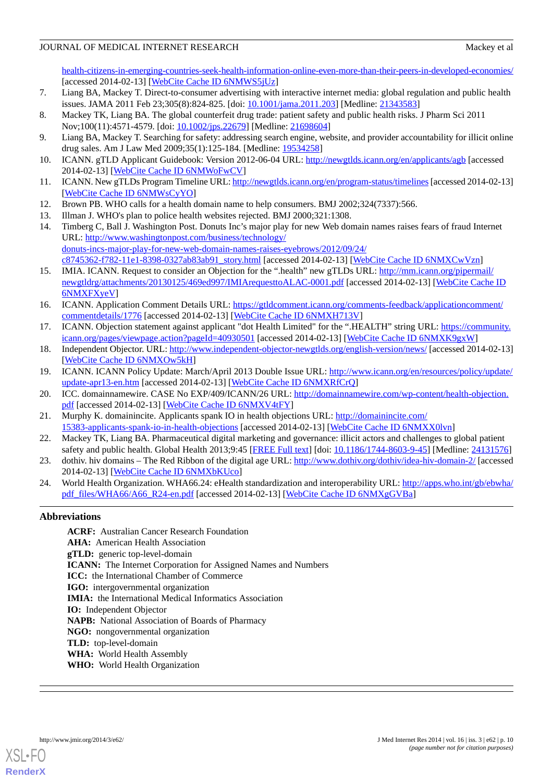[health-citizens-in-emerging-countries-seek-health-information-online-even-more-than-their-peers-in-developed-economies/](http://healthpopuli.com/2011/01/06/health-citizens-in-emerging-countries-seek-health-information-online-even-more-than-their-peers-in-developed-economies/) [accessed 2014-02-13] [\[WebCite Cache ID 6NMWS5jUz](http://www.webcitation.org/

                                    6NMWS5jUz)]

- <span id="page-9-0"></span>7. Liang BA, Mackey T. Direct-to-consumer advertising with interactive internet media: global regulation and public health issues. JAMA 2011 Feb 23;305(8):824-825. [doi: [10.1001/jama.2011.203](http://dx.doi.org/10.1001/jama.2011.203)] [Medline: [21343583\]](http://www.ncbi.nlm.nih.gov/entrez/query.fcgi?cmd=Retrieve&db=PubMed&list_uids=21343583&dopt=Abstract)
- <span id="page-9-1"></span>8. Mackey TK, Liang BA. The global counterfeit drug trade: patient safety and public health risks. J Pharm Sci 2011 Nov;100(11):4571-4579. [doi: [10.1002/jps.22679\]](http://dx.doi.org/10.1002/jps.22679) [Medline: [21698604\]](http://www.ncbi.nlm.nih.gov/entrez/query.fcgi?cmd=Retrieve&db=PubMed&list_uids=21698604&dopt=Abstract)
- <span id="page-9-2"></span>9. Liang BA, Mackey T. Searching for safety: addressing search engine, website, and provider accountability for illicit online drug sales. Am J Law Med 2009;35(1):125-184. [Medline: [19534258](http://www.ncbi.nlm.nih.gov/entrez/query.fcgi?cmd=Retrieve&db=PubMed&list_uids=19534258&dopt=Abstract)]
- <span id="page-9-3"></span>10. ICANN. gTLD Applicant Guidebook: Version 2012-06-04 URL:<http://newgtlds.icann.org/en/applicants/agb> [accessed 2014-02-13] [\[WebCite Cache ID 6NMWoFwCV\]](http://www.webcitation.org/

                                    6NMWoFwCV)
- <span id="page-9-4"></span>11. ICANN. New gTLDs Program Timeline URL:<http://newgtlds.icann.org/en/program-status/timelines>[accessed 2014-02-13] [[WebCite Cache ID 6NMWsCyYO\]](http://www.webcitation.org/

                                    6NMWsCyYO)
- <span id="page-9-6"></span><span id="page-9-5"></span>12. Brown PB. WHO calls for a health domain name to help consumers. BMJ 2002;324(7337):566.
- 13. Illman J. WHO's plan to police health websites rejected. BMJ 2000;321:1308.
- <span id="page-9-7"></span>14. Timberg C, Ball J. Washington Post. Donuts Inc's major play for new Web domain names raises fears of fraud Internet URL: [http://www.washingtonpost.com/business/technology/](http://www.washingtonpost.com/business/technology/donuts-incs-major-play-for-new-web-domain-names-raises-eyebrows/2012/09/24/c8745362-f782-11e1-8398-0327ab83ab91_story.html) [donuts-incs-major-play-for-new-web-domain-names-raises-eyebrows/2012/09/24/](http://www.washingtonpost.com/business/technology/donuts-incs-major-play-for-new-web-domain-names-raises-eyebrows/2012/09/24/c8745362-f782-11e1-8398-0327ab83ab91_story.html) [c8745362-f782-11e1-8398-0327ab83ab91\\_story.html](http://www.washingtonpost.com/business/technology/donuts-incs-major-play-for-new-web-domain-names-raises-eyebrows/2012/09/24/c8745362-f782-11e1-8398-0327ab83ab91_story.html) [accessed 2014-02-13] [\[WebCite Cache ID 6NMXCwVzn\]](http://www.webcitation.org/

                                    6NMXCwVzn)
- <span id="page-9-8"></span>15. IMIA. ICANN. Request to consider an Objection for the ".health" new gTLDs URL: [http://mm.icann.org/pipermail/](http://mm.icann.org/pipermail/newgtldrg/attachments/20130125/469ed997/IMIArequesttoALAC-0001.pdf) [newgtldrg/attachments/20130125/469ed997/IMIArequesttoALAC-0001.pdf](http://mm.icann.org/pipermail/newgtldrg/attachments/20130125/469ed997/IMIArequesttoALAC-0001.pdf) [accessed 2014-02-13] [[WebCite Cache ID](http://www.webcitation.org/

                                    6NMXFXyeV) [6NMXFXyeV](http://www.webcitation.org/

                                    6NMXFXyeV)]
- <span id="page-9-10"></span><span id="page-9-9"></span>16. ICANN. Application Comment Details URL: [https://gtldcomment.icann.org/comments-feedback/applicationcomment/](https://gtldcomment.icann.org/comments-feedback/applicationcomment/commentdetails/1776) [commentdetails/1776](https://gtldcomment.icann.org/comments-feedback/applicationcomment/commentdetails/1776) [accessed 2014-02-13] [[WebCite Cache ID 6NMXH713V](http://www.webcitation.org/

                                    6NMXH713V)]
- <span id="page-9-11"></span>17. ICANN. Objection statement against applicant "dot Health Limited" for the ".HEALTH" string URL: [https://community.](https://community.icann.org/pages/viewpage.action?pageId=40930501) [icann.org/pages/viewpage.action?pageId=40930501](https://community.icann.org/pages/viewpage.action?pageId=40930501) [accessed 2014-02-13] [[WebCite Cache ID 6NMXK9gxW](http://www.webcitation.org/

                                    6NMXK9gxW)]
- <span id="page-9-12"></span>18. Independent Objector. URL: <http://www.independent-objector-newgtlds.org/english-version/news/> [accessed 2014-02-13] [[WebCite Cache ID 6NMXOw5kH\]](http://www.webcitation.org/

                                    6NMXOw5kH)
- <span id="page-9-13"></span>19. ICANN. ICANN Policy Update: March/April 2013 Double Issue URL: [http://www.icann.org/en/resources/policy/update/](http://www.icann.org/en/resources/policy/update/update-apr13-en.htm) [update-apr13-en.htm](http://www.icann.org/en/resources/policy/update/update-apr13-en.htm) [accessed 2014-02-13] [\[WebCite Cache ID 6NMXRfCrQ\]](http://www.webcitation.org/

                                    6NMXRfCrQ)
- <span id="page-9-14"></span>20. ICC. domainnamewire. CASE No EXP/409/ICANN/26 URL: [http://domainnamewire.com/wp-content/health-objection.](http://domainnamewire.com/wp-content/health-objection.pdf) [pdf](http://domainnamewire.com/wp-content/health-objection.pdf) [accessed 2014-02-13] [[WebCite Cache ID 6NMXV4tFY\]](http://www.webcitation.org/

                                    6NMXV4tFY)
- <span id="page-9-15"></span>21. Murphy K. domainincite. Applicants spank IO in health objections URL: [http://domainincite.com/](http://domainincite.com/15383-applicants-spank-io-in-health-objections) [15383-applicants-spank-io-in-health-objections](http://domainincite.com/15383-applicants-spank-io-in-health-objections) [accessed 2014-02-13] [[WebCite Cache ID 6NMXX0lvn\]](http://www.webcitation.org/

                                    6NMXX0lvn)
- <span id="page-9-16"></span>22. Mackey TK, Liang BA. Pharmaceutical digital marketing and governance: illicit actors and challenges to global patient safety and public health. Global Health 2013;9:45 [\[FREE Full text](http://www.globalizationandhealth.com/content/9//45)] [doi: [10.1186/1744-8603-9-45\]](http://dx.doi.org/10.1186/1744-8603-9-45) [Medline: [24131576\]](http://www.ncbi.nlm.nih.gov/entrez/query.fcgi?cmd=Retrieve&db=PubMed&list_uids=24131576&dopt=Abstract)
- 23. dothiv. hiv domains The Red Ribbon of the digital age URL:  $\frac{http://www.dothiv.org/dothiv/idea-hiv-domain-2/}$  $\frac{http://www.dothiv.org/dothiv/idea-hiv-domain-2/}$  $\frac{http://www.dothiv.org/dothiv/idea-hiv-domain-2/}$  [accessed 2014-02-13] [\[WebCite Cache ID 6NMXbKUco](http://www.webcitation.org/

                                    6NMXbKUco)]
- 24. World Health Organization. WHA66.24: eHealth standardization and interoperability URL: [http://apps.who.int/gb/ebwha/](http://apps.who.int/gb/ebwha/pdf_files/WHA66/A66_R24-en.pdf) [pdf\\_files/WHA66/A66\\_R24-en.pdf](http://apps.who.int/gb/ebwha/pdf_files/WHA66/A66_R24-en.pdf) [accessed 2014-02-13] [[WebCite Cache ID 6NMXgGVBa\]](http://www.webcitation.org/

                                    6NMXgGVBa)

### **Abbreviations**

**ACRF:** Australian Cancer Research Foundation **AHA:** American Health Association **gTLD:** generic top-level-domain **ICANN:** The Internet Corporation for Assigned Names and Numbers **ICC:** the International Chamber of Commerce **IGO:** intergovernmental organization **IMIA:** the International Medical Informatics Association **IO:** Independent Objector **NAPB:** National Association of Boards of Pharmacy **NGO:** nongovernmental organization **TLD:** top-level-domain **WHA:** World Health Assembly **WHO:** World Health Organization